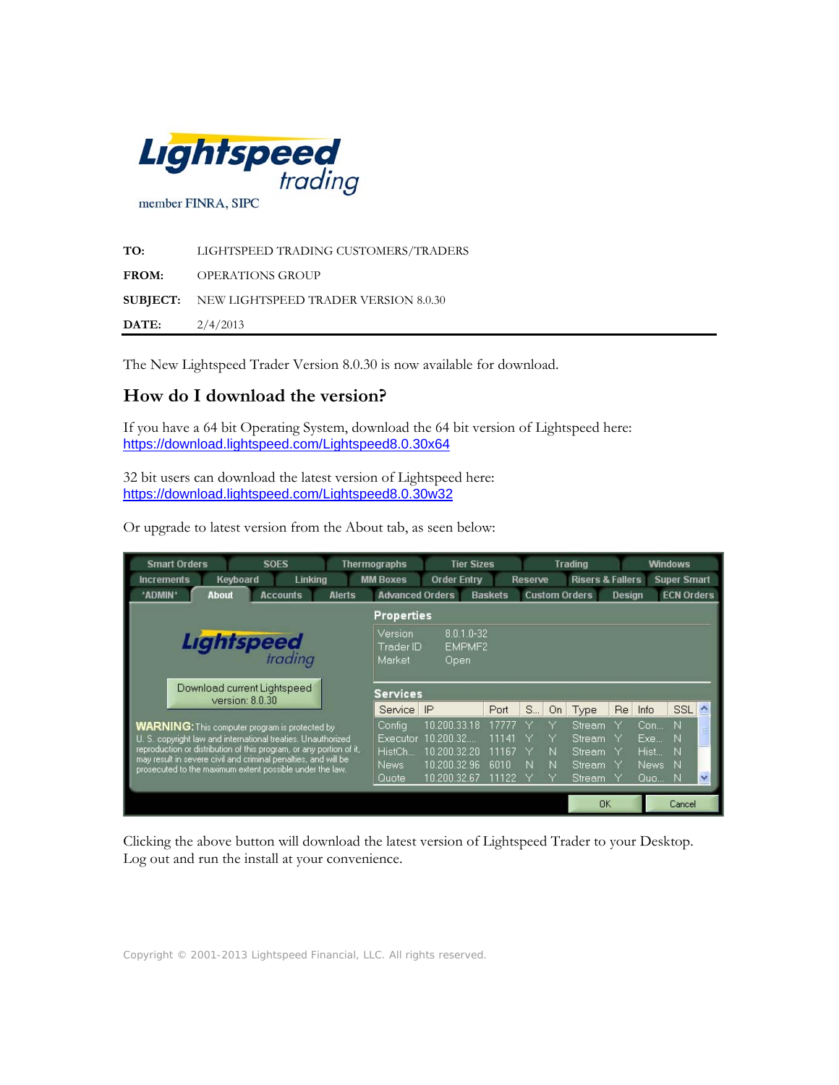

| TO:          | LIGHTSPEED TRADING CUSTOMERS/TRADERS                 |
|--------------|------------------------------------------------------|
| FROM:        | OPERATIONS GROUP                                     |
|              | <b>SUBJECT:</b> NEW LIGHTSPEED TRADER VERSION 8.0.30 |
| <b>DATE:</b> | 2/4/2013                                             |

The New Lightspeed Trader Version 8.0.30 is now available for download.

# **How do I download the version?**

If you have a 64 bit Operating System, download the 64 bit version of Lightspeed here: https://download.lightspeed.com/Lightspeed8.0.30x64

32 bit users can download the latest version of Lightspeed here: https://download.lightspeed.com/Lightspeed8.0.30w32

Or upgrade to latest version from the About tab, as seen below:

| <b>Smart Orders</b>                                                                                                        | <b>SOES</b>                                    |               | <b>Thermographs</b>            |                                          | <b>Tier Sizes</b> |                | <b>Trading</b> |                             | <b>Windows</b> |       |                    |                  |
|----------------------------------------------------------------------------------------------------------------------------|------------------------------------------------|---------------|--------------------------------|------------------------------------------|-------------------|----------------|----------------|-----------------------------|----------------|-------|--------------------|------------------|
| <b>Increments</b>                                                                                                          | Keyboard<br>Linking                            |               | <b>MM Boxes</b>                | <b>Order Entry</b>                       |                   | <b>Reserve</b> |                | <b>Risers &amp; Fallers</b> |                |       | <b>Super Smart</b> |                  |
| *ADMIN*<br><b>About</b>                                                                                                    | <b>Accounts</b>                                | <b>Alerts</b> | <b>Advanced Orders</b>         |                                          | <b>Baskets</b>    |                |                | <b>Custom Orders</b>        | <b>Design</b>  |       | <b>ECN Orders</b>  |                  |
|                                                                                                                            |                                                |               | <b>Properties</b>              |                                          |                   |                |                |                             |                |       |                    |                  |
|                                                                                                                            | <b>Lightspeed</b>                              |               | Version<br>Trader ID<br>Market | 8.0.1.0-32<br>EMPMF <sub>2</sub><br>Open |                   |                |                |                             |                |       |                    |                  |
|                                                                                                                            | Download current Lightspeed<br>version: 8.0.30 |               | <b>Services</b>                |                                          |                   |                |                |                             |                |       |                    |                  |
|                                                                                                                            |                                                |               | Service                        | IP                                       | Port              | S              | On             | Type                        | Re             | Info  | SSL                | $\blacktriangle$ |
| <b>WARNING:</b> This computer program is protected by                                                                      |                                                |               | Config                         | 10.200.33.18                             |                   |                |                | Stream.                     |                | Con   | N                  |                  |
| U. S. copyright law and international treaties. Unauthorized                                                               |                                                |               | Executor                       | 10.200.32                                | 11141             |                |                | Stream                      |                | Exe   | N                  |                  |
| reproduction or distribution of this program, or any portion of it,                                                        |                                                |               | HistCh.                        | 10.200.32.20                             | 11167             |                | N              | Stream                      |                | Hist  | N                  |                  |
| may result in severe civil and criminal penalties, and will be<br>prosecuted to the maximum extent possible under the law. |                                                |               | News:                          | 10 200 32 96                             | 6010              | N              | N              | Stream                      |                | News: | N                  |                  |
|                                                                                                                            |                                                |               | Quote                          | 10 200 32 67                             | 11122             |                | ٧              | Stream                      |                | Quo   | IN.                | $\ddotmark$      |
|                                                                                                                            |                                                |               |                                |                                          |                   |                |                | <b>DK</b>                   |                |       | Cancel             |                  |

Clicking the above button will download the latest version of Lightspeed Trader to your Desktop. Log out and run the install at your convenience.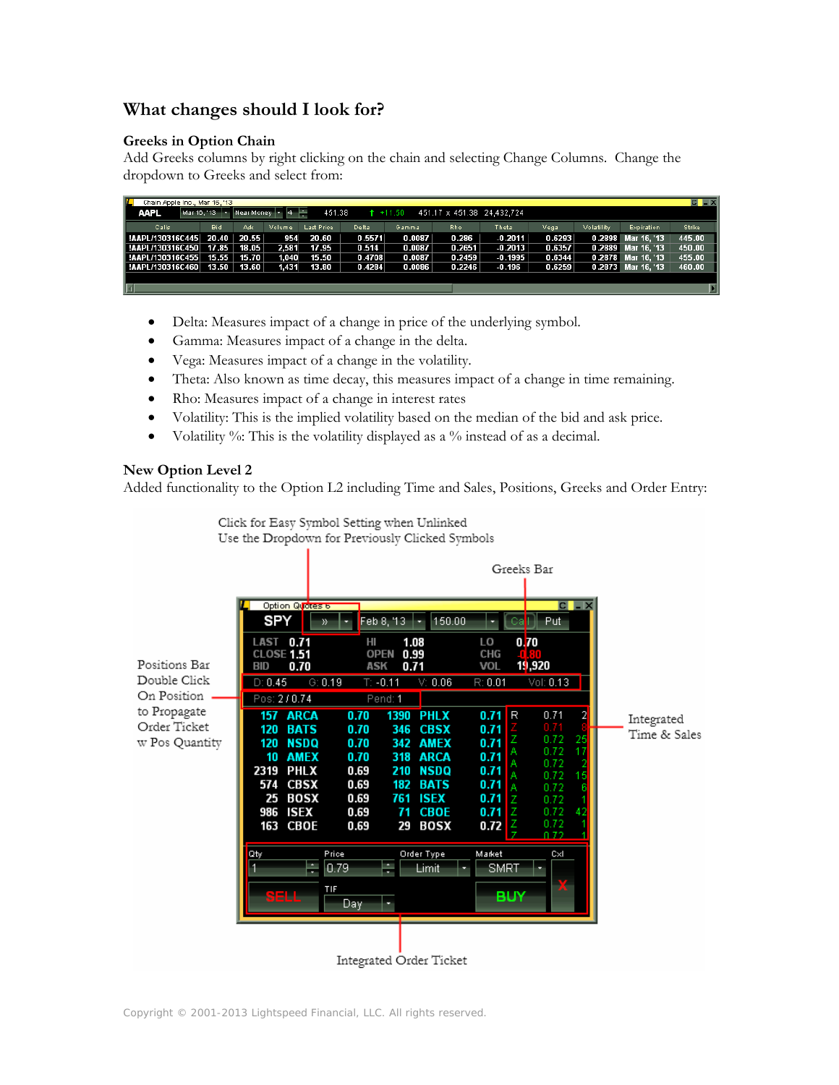# **What changes should I look for?**

#### **Greeks in Option Chain**

Add Greeks columns by right clicking on the chain and selecting Change Columns. Change the dropdown to Greeks and select from:

| ш                                                                                                      | $C \parallel X$<br>Chain Apple Inc., Mar 16, '13 |       |        |            |              |        |        |           |        |            |                    |               |
|--------------------------------------------------------------------------------------------------------|--------------------------------------------------|-------|--------|------------|--------------|--------|--------|-----------|--------|------------|--------------------|---------------|
| Near Money - 4<br>F.<br><b>AAPL</b><br>451.38<br>451.17 x 451.38 24.432.724<br>Mar 16, '13<br>$+11.50$ |                                                  |       |        |            |              |        |        |           |        |            |                    |               |
| Calls                                                                                                  | Bid                                              | Ask   | Volume | Last Price | <b>Delta</b> | Gamma  | Rho.   | Theta     | Vegal  | Volatility | <b>Expiration</b>  | <b>Strike</b> |
| !AAPL/130316C445    20.40    20.55                                                                     |                                                  |       | 954    | 20.60      | 0.5571       | 0.0087 | 0.286  | $-0.2011$ | 0.6293 |            | 0.2898 Mar 16, 13  | 445.00        |
| !AAPL/130316C450   17.85                                                                               |                                                  | 18.05 | 2,581  | 17.95      | 0.514        | 0.0087 | 0.2651 | $-0.2013$ | 0.6357 |            | 0.2889 Mar 16, '13 | 450.00        |
| !AAPL/130316C455                                                                                       | 15.55                                            | 15.70 | 1,040  | 15.50      | 0.4708       | 0.0087 | 0.2459 | $-0.1995$ | 0.6344 |            | 0.2878 Mar 16, 13  | 455.00        |
| !AAPL/130316C460    13.50                                                                              |                                                  | 13.60 | 1,431  | 13.80      | 0.4284       | 0.0086 | 0.2246 | $-0.196$  | 0.6259 |            | 0.2873 Mar 16, '13 | 460.00        |
|                                                                                                        |                                                  |       |        |            |              |        |        |           |        |            |                    |               |
|                                                                                                        |                                                  |       |        |            |              |        |        |           |        |            |                    |               |

- Delta: Measures impact of a change in price of the underlying symbol.
- Gamma: Measures impact of a change in the delta.
- Vega: Measures impact of a change in the volatility.
- Theta: Also known as time decay, this measures impact of a change in time remaining.
- Rho: Measures impact of a change in interest rates
- Volatility: This is the implied volatility based on the median of the bid and ask price.
- Volatility  $\%$ : This is the volatility displayed as a  $\%$  instead of as a decimal.

Click for Easy Symbol Setting when Unlinked

## **New Option Level 2**

Added functionality to the Option L2 including Time and Sales, Positions, Greeks and Order Entry:



Copyright © 2001-2013 Lightspeed Financial, LLC. All rights reserved.